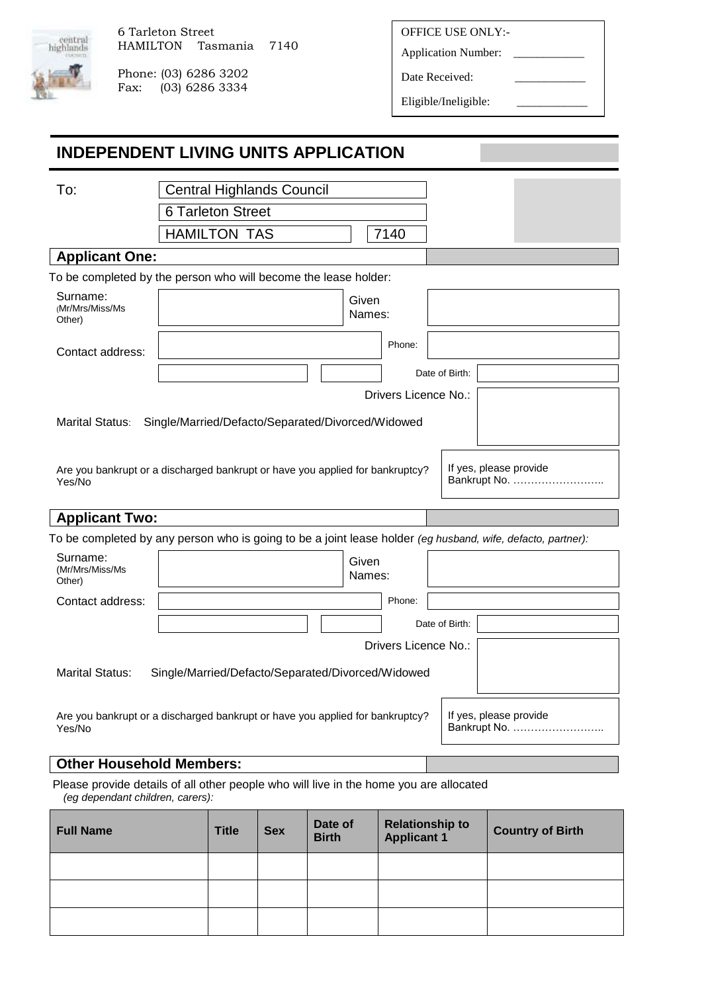

Phone: (03) 6286 3202<br>Fax: (03) 6286 3334  $(03)$  6286 3334 OFFICE USE ONLY:-

Application Number:

Date Received:

Eligible/Ineligible:

| <b>INDEPENDENT LIVING UNITS APPLICATION</b>                                                                 |                                                   |                          |                                  |         |                 |                      |                        |                                        |
|-------------------------------------------------------------------------------------------------------------|---------------------------------------------------|--------------------------|----------------------------------|---------|-----------------|----------------------|------------------------|----------------------------------------|
| To:                                                                                                         |                                                   |                          | <b>Central Highlands Council</b> |         |                 |                      |                        |                                        |
|                                                                                                             |                                                   | <b>6 Tarleton Street</b> |                                  |         |                 |                      |                        |                                        |
|                                                                                                             |                                                   | <b>HAMILTON TAS</b>      |                                  |         |                 | 7140                 |                        |                                        |
| <b>Applicant One:</b>                                                                                       |                                                   |                          |                                  |         |                 |                      |                        |                                        |
| To be completed by the person who will become the lease holder:                                             |                                                   |                          |                                  |         |                 |                      |                        |                                        |
| Surname:                                                                                                    |                                                   |                          |                                  |         |                 |                      |                        |                                        |
| (Mr/Mrs/Miss/Ms<br>Other)                                                                                   |                                                   |                          |                                  |         | Given<br>Names: |                      |                        |                                        |
| Contact address:                                                                                            |                                                   |                          |                                  |         |                 | Phone:               |                        |                                        |
|                                                                                                             |                                                   |                          |                                  |         |                 |                      | Date of Birth:         |                                        |
|                                                                                                             |                                                   |                          |                                  |         |                 | Drivers Licence No.: |                        |                                        |
| <b>Marital Status:</b>                                                                                      | Single/Married/Defacto/Separated/Divorced/Widowed |                          |                                  |         |                 |                      |                        |                                        |
|                                                                                                             |                                                   |                          |                                  |         |                 |                      |                        |                                        |
| Are you bankrupt or a discharged bankrupt or have you applied for bankruptcy?<br>Yes/No                     |                                                   |                          |                                  |         |                 |                      |                        | If yes, please provide<br>Bankrupt No. |
| <b>Applicant Two:</b>                                                                                       |                                                   |                          |                                  |         |                 |                      |                        |                                        |
| To be completed by any person who is going to be a joint lease holder (eg husband, wife, defacto, partner): |                                                   |                          |                                  |         |                 |                      |                        |                                        |
| Surname:<br>(Mr/Mrs/Miss/Ms<br>Other)                                                                       |                                                   |                          |                                  |         | Given<br>Names: |                      |                        |                                        |
| Contact address:                                                                                            |                                                   |                          |                                  |         |                 | Phone:               |                        |                                        |
|                                                                                                             |                                                   |                          |                                  |         |                 |                      | Date of Birth:         |                                        |
|                                                                                                             |                                                   |                          |                                  |         |                 | Drivers Licence No.: |                        |                                        |
|                                                                                                             |                                                   |                          |                                  |         |                 |                      |                        |                                        |
| <b>Marital Status:</b>                                                                                      | Single/Married/Defacto/Separated/Divorced/Widowed |                          |                                  |         |                 |                      |                        |                                        |
| Are you bankrupt or a discharged bankrupt or have you applied for bankruptcy?<br>Yes/No                     |                                                   |                          |                                  |         |                 |                      |                        | If yes, please provide                 |
| <b>Other Household Members:</b>                                                                             |                                                   |                          |                                  |         |                 |                      |                        |                                        |
| Please provide details of all other people who will live in the home you are allocated                      |                                                   |                          |                                  |         |                 |                      |                        |                                        |
| (eg dependant children, carers):                                                                            |                                                   |                          |                                  |         |                 |                      |                        |                                        |
| $Full$ Namo                                                                                                 |                                                   | TiH <sub>0</sub>         | Cov                              | Date of |                 |                      | <b>Relationship to</b> | Country of Dirth                       |

| <b>Full Name</b> | <b>Title</b> | <b>Sex</b> | Date of<br><b>Birth</b> | <b>Relationship to</b><br><b>Applicant 1</b> | <b>Country of Birth</b> |
|------------------|--------------|------------|-------------------------|----------------------------------------------|-------------------------|
|                  |              |            |                         |                                              |                         |
|                  |              |            |                         |                                              |                         |
|                  |              |            |                         |                                              |                         |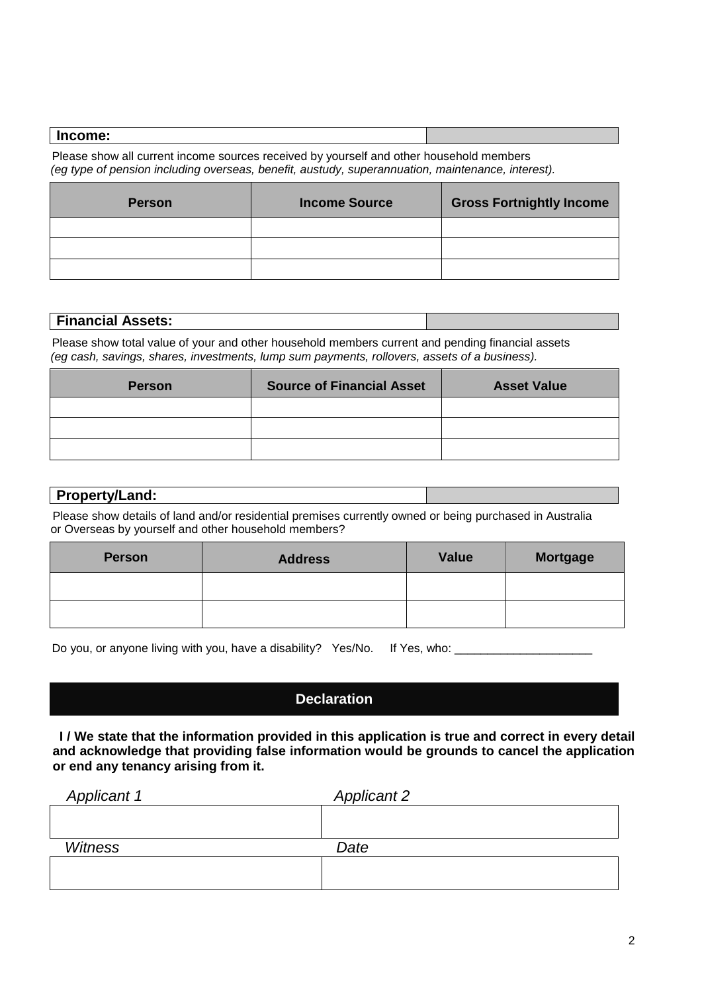#### **Income:**

 Please show all current income sources received by yourself and other household members *(eg type of pension including overseas, benefit, austudy, superannuation, maintenance, interest).* 

| <b>Person</b> | <b>Income Source</b> | <b>Gross Fortnightly Income</b> |
|---------------|----------------------|---------------------------------|
|               |                      |                                 |
|               |                      |                                 |
|               |                      |                                 |

## **Financial Assets:**

 Please show total value of your and other household members current and pending financial assets *(eg cash, savings, shares, investments, lump sum payments, rollovers, assets of a business).* 

| <b>Person</b> | <b>Source of Financial Asset</b> | <b>Asset Value</b> |
|---------------|----------------------------------|--------------------|
|               |                                  |                    |
|               |                                  |                    |
|               |                                  |                    |

# **Property/Land:**

Please show details of land and/or residential premises currently owned or being purchased in Australia or Overseas by yourself and other household members?

| <b>Person</b> | <b>Address</b> | <b>Value</b> | <b>Mortgage</b> |
|---------------|----------------|--------------|-----------------|
|               |                |              |                 |
|               |                |              |                 |

Do you, or anyone living with you, have a disability? Yes/No. If Yes, who: \_\_

# **Declaration**

**I / We state that the information provided in this application is true and correct in every detail and acknowledge that providing false information would be grounds to cancel the application or end any tenancy arising from it.**

| <b>Applicant 1</b> | <b>Applicant 2</b> |  |
|--------------------|--------------------|--|
|                    |                    |  |
|                    |                    |  |
| <b>Witness</b>     | Date               |  |
|                    |                    |  |
|                    |                    |  |